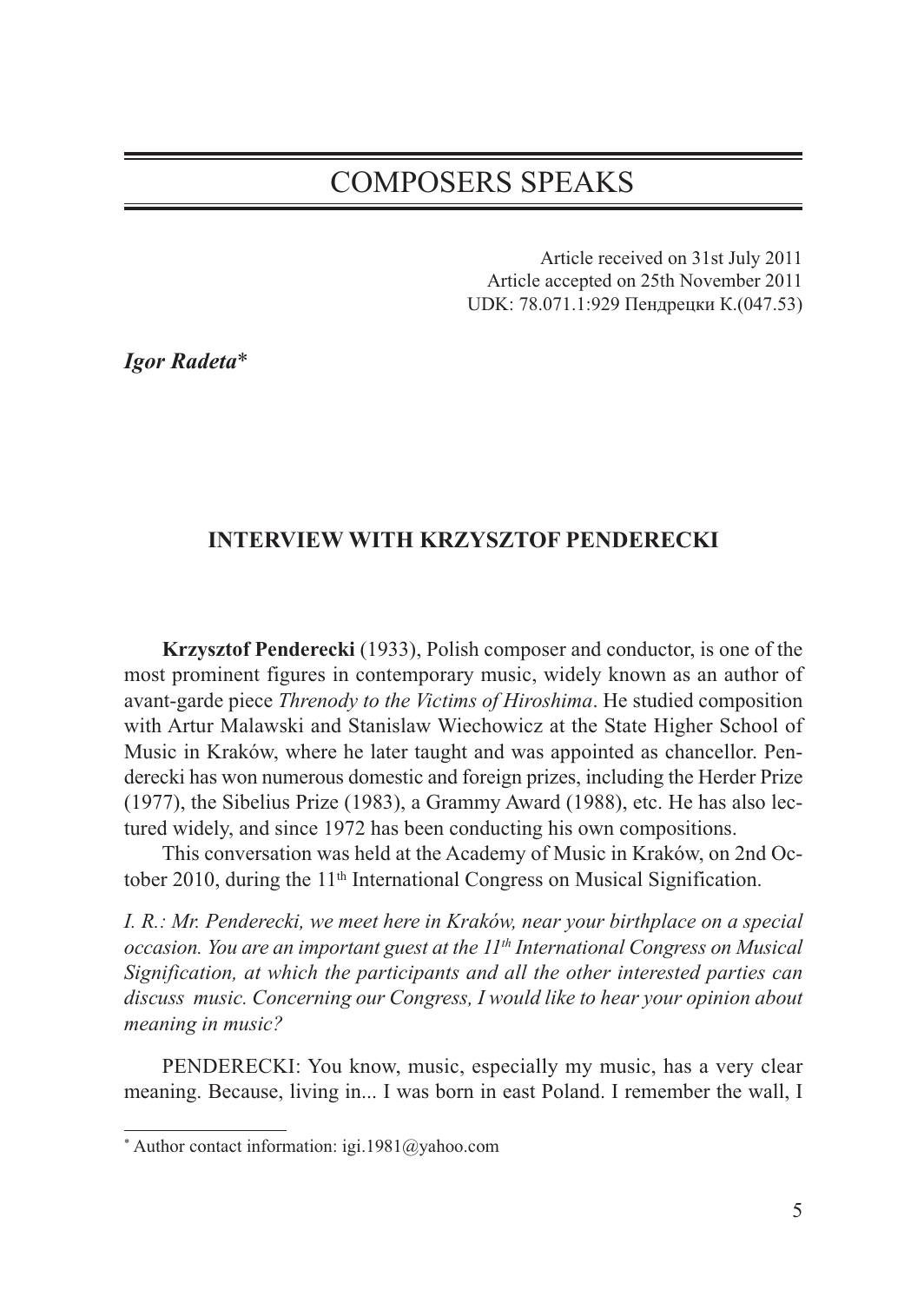# COMPOSERS SPEAKS

Article received on 31st July 2011 Article accepted on 25th November 2011 UDK: 78.071.1:929 Пендрецки К.(047.53)

*Igor Radeta*\*

## **INTERVIEW WITH KRZYSZTOF PENDERECKI**

**Krzysztof Penderecki** (1933), Polish composer and conductor, is one of the most prominent figures in contemporary music, widely known as an author of avant-garde piece *Threnody to the Victims of Hiroshima*. He studied composition with Artur Malawski and Stanislaw Wiechowicz at the State Higher School of Music in Kraków, where he later taught and was appointed as chancellor. Penderecki has won numerous domestic and foreign prizes, including the Herder Prize (1977), the Sibelius Prize (1983), a Grammy Award (1988), etc. He has also lectured widely, and since 1972 has been conducting his own compositions.

This conversation was held at the Academy of Music in Kraków, on 2nd October 2010, during the 11<sup>th</sup> International Congress on Musical Signification.

*I. R.: Mr. Penderecki, we meet here in Kraków, near your birthplace on a special occasion. You are an important guest at the 11th International Congress on Musical Signification, at which the participants and all the other interested parties can discuss music. Concerning our Congress, I would like to hear your opinion about meaning in music?*

PENDERECKI: You know, music, especially my music, has a very clear meaning. Because, living in... I was born in east Poland. I remember the wall, I

<sup>\*</sup> Author contact information: igi.1981@yahoo.com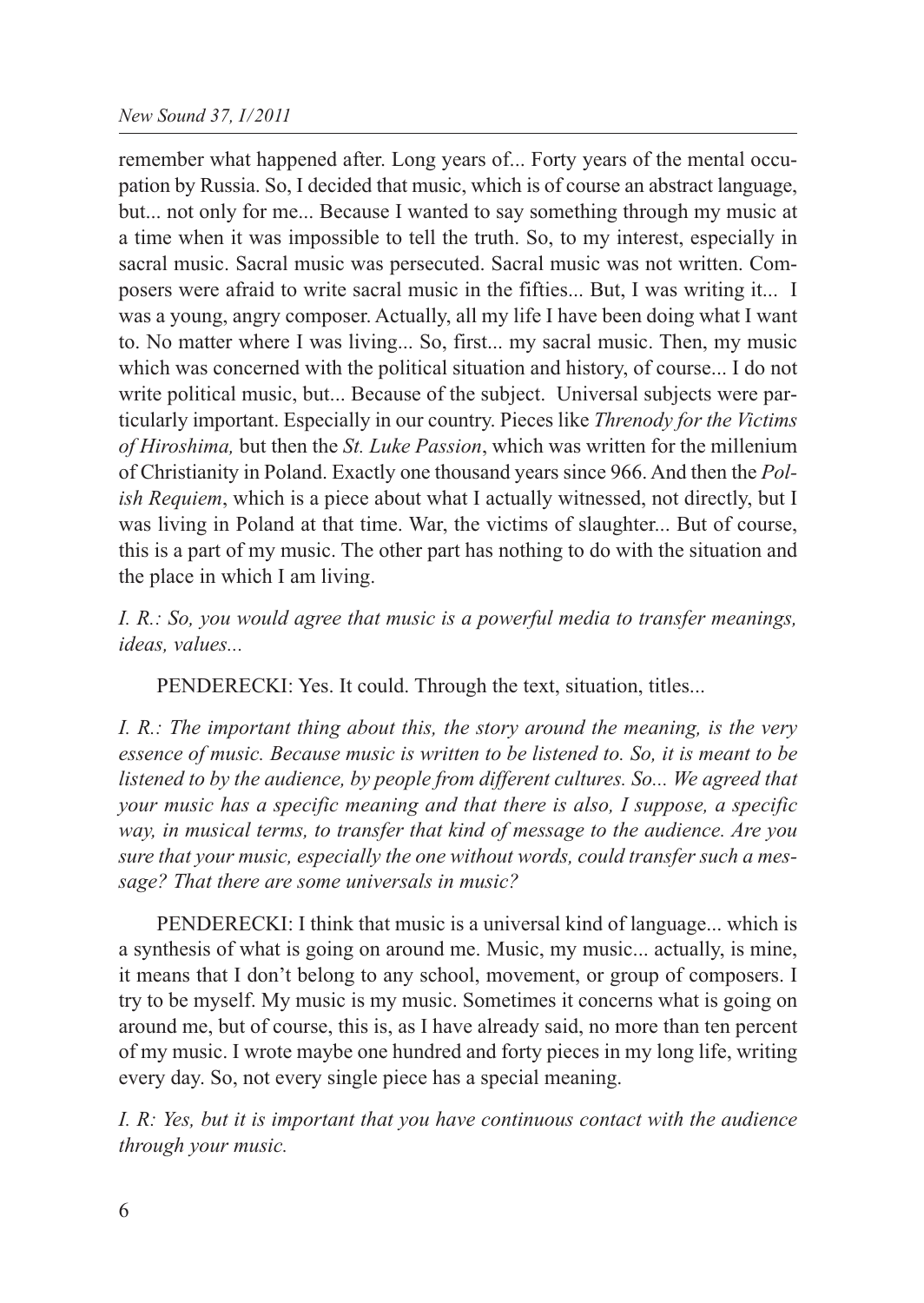remember what happened after. Long years of... Forty years of the mental occupation by Russia. So, I decided that music, which is of course an abstract language, but... not only for me... Because I wanted to say something through my music at a time when it was impossible to tell the truth. So, to my interest, especially in sacral music. Sacral music was persecuted. Sacral music was not written. Composers were afraid to write sacral music in the fifties... But, I was writing it... I was a young, angry composer. Actually, all my life I have been doing what I want to. No matter where I was living... So, first... my sacral music. Then, my music which was concerned with the political situation and history, of course... I do not write political music, but... Because of the subject. Universal subjects were particularly important. Especially in our country. Pieces like *Threnody for the Victims of Hiroshima,* but then the *St. Luke Passion*, which was written for the millenium of Christianity in Poland. Exactly one thousand years since 966. And then the *Polish Requiem*, which is a piece about what I actually witnessed, not directly, but I was living in Poland at that time. War, the victims of slaughter... But of course, this is a part of my music. The other part has nothing to do with the situation and the place in which I am living.

*I. R.: So, you would agree that music is a powerful media to transfer meanings, ideas, values...*

PENDERECKI: Yes. It could. Through the text, situation, titles...

*I. R.: The important thing about this, the story around the meaning, is the very essence of music. Because music is written to be listened to. So, it is meant to be listened to by the audience, by people from different cultures. So... We agreed that your music has a specific meaning and that there is also, I suppose, a specific way, in musical terms, to transfer that kind of message to the audience. Are you sure that your music, especially the one without words, could transfer such a message? That there are some universals in music?*

PENDERECKI: I think that music is a universal kind of language... which is a synthesis of what is going on around me. Music, my music... actually, is mine, it means that I don't belong to any school, movement, or group of composers. I try to be myself. My music is my music. Sometimes it concerns what is going on around me, but of course, this is, as I have already said, no more than ten percent of my music. I wrote maybe one hundred and forty pieces in my long life, writing every day. So, not every single piece has a special meaning.

*I. R: Yes, but it is important that you have continuous contact with the audience through your music.*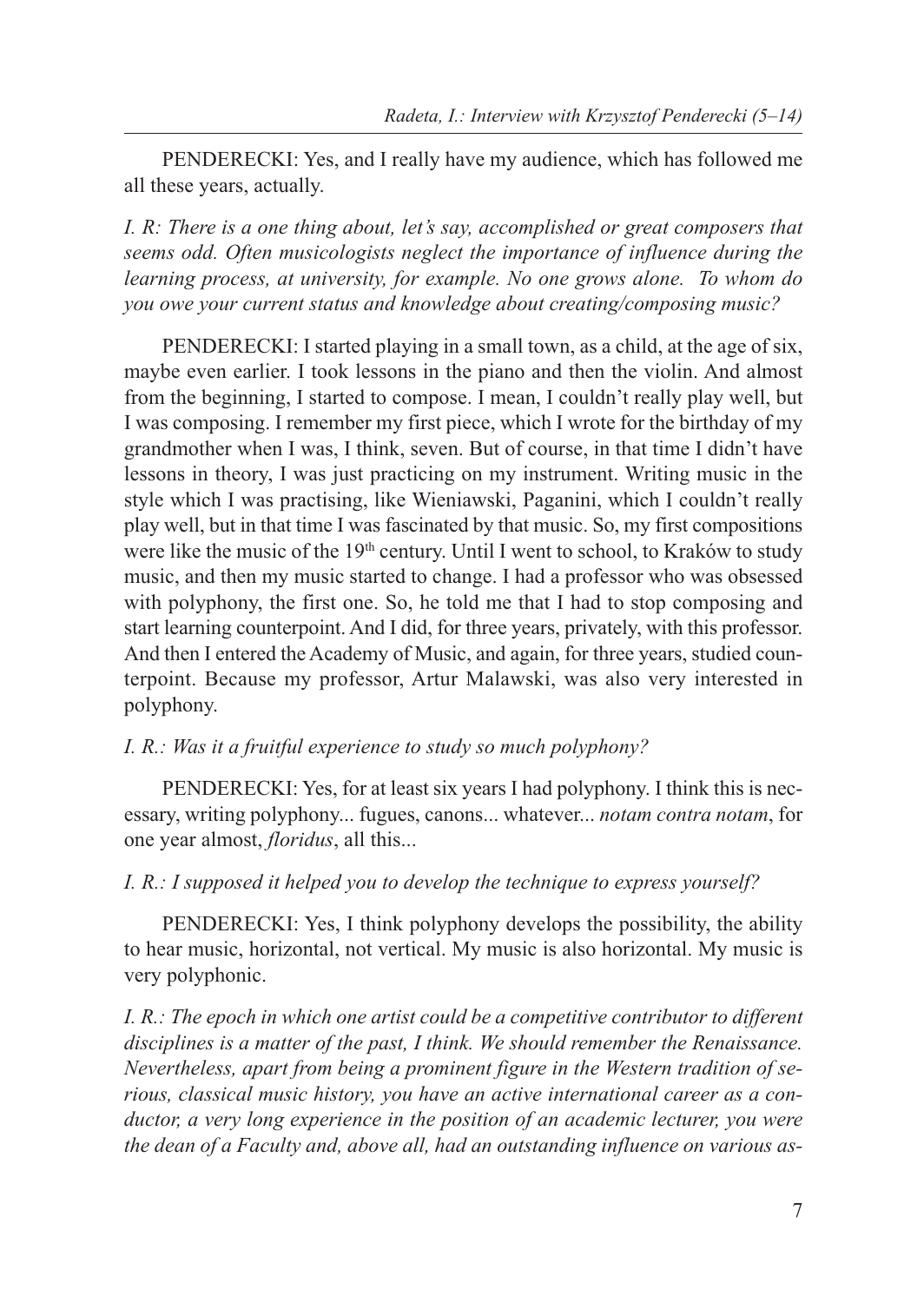PENDERECKI: Yes, and I really have my audience, which has followed me all these years, actually.

*I. R: There is a one thing about, let's say, accomplished or great composers that seems odd. Often musicologists neglect the importance of influence during the learning process, at university, for example. No one grows alone. To whom do you owe your current status and knowledge about creating/composing music?*

PENDERECKI: I started playing in a small town, as a child, at the age of six, maybe even earlier. I took lessons in the piano and then the violin. And almost from the beginning, I started to compose. I mean, I couldn't really play well, but I was composing. I remember my first piece, which I wrote for the birthday of my grandmother when I was, I think, seven. But of course, in that time I didn't have lessons in theory, I was just practicing on my instrument. Writing music in the style which I was practising, like Wieniawski, Paganini, which I couldn't really play well, but in that time I was fascinated by that music. So, my first compositions were like the music of the 19<sup>th</sup> century. Until I went to school, to Kraków to study music, and then my music started to change. I had a professor who was obsessed with polyphony, the first one. So, he told me that I had to stop composing and start learning counterpoint. And I did, for three years, privately, with this professor. And then I entered the Academy of Music, and again, for three years, studied counterpoint. Because my professor, Artur Malawski, was also very interested in polyphony.

## *I. R.: Was it a fruitful experience to study so much polyphony?*

PENDERECKI: Yes, for at least six years I had polyphony. I think this is necessary, writing polyphony... fugues, canons... whatever... *notam contra notam*, for one year almost, *floridus*, all this...

*I. R.: I supposed it helped you to develop the technique to express yourself?*

PENDERECKI: Yes, I think polyphony develops the possibility, the ability to hear music, horizontal, not vertical. My music is also horizontal. My music is very polyphonic.

*I. R.: The epoch in which one artist could be a competitive contributor to different disciplines is a matter of the past, I think. We should remember the Renaissance. Nevertheless, apart from being a prominent figure in the Western tradition of serious, classical music history, you have an active international career as a conductor, a very long experience in the position of an academic lecturer, you were the dean of a Faculty and, above all, had an outstanding influence on various as-*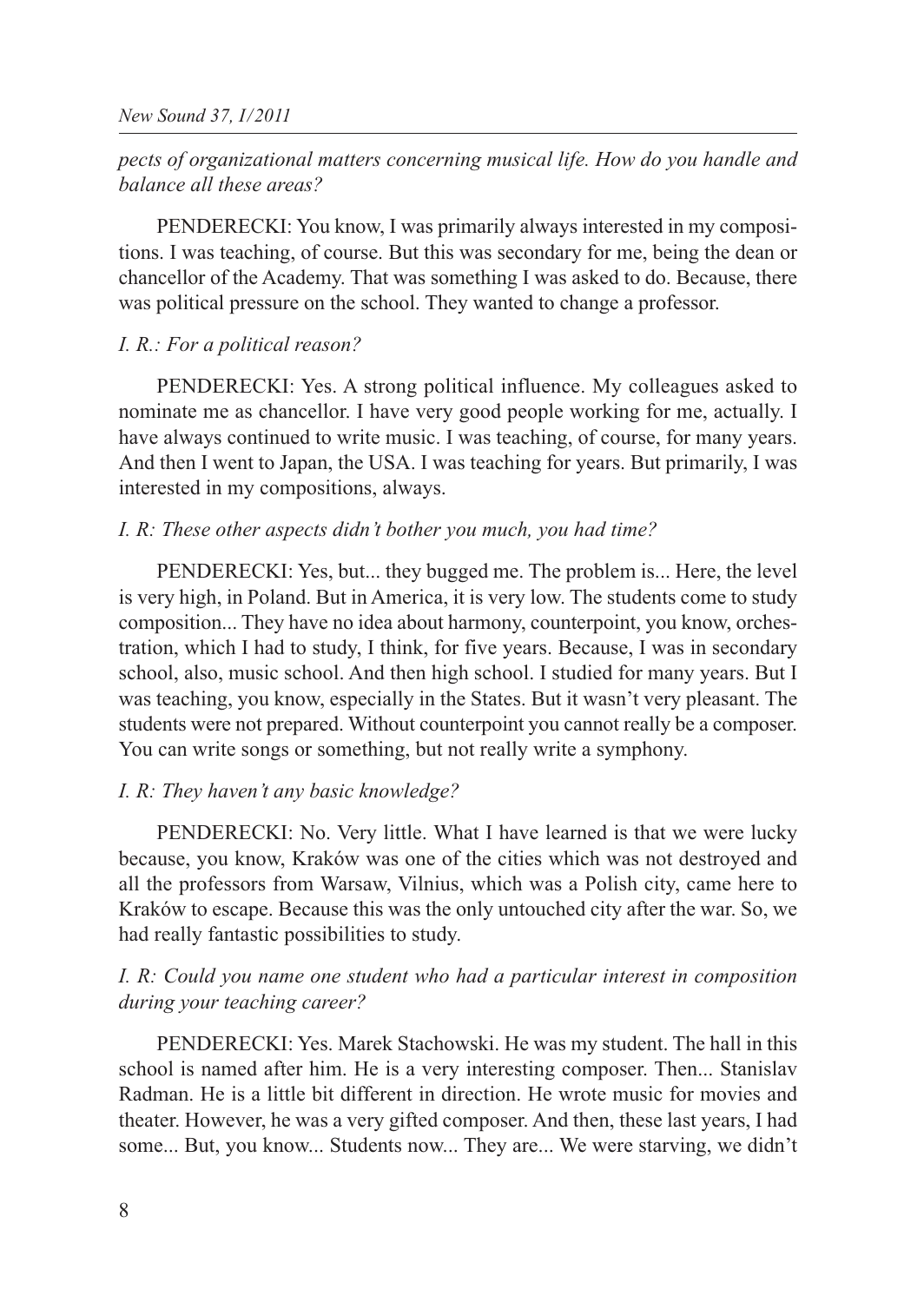# *pects of organizational matters concerning musical life. How do you handle and balance all these areas?*

PENDERECKI: You know, I was primarily always interested in my compositions. I was teaching, of course. But this was secondary for me, being the dean or chancellor of the Academy. That was something I was asked to do. Because, there was political pressure on the school. They wanted to change a professor.

#### *I. R.: For a political reason?*

PENDERECKI: Yes. A strong political influence. My colleagues asked to nominate me as chancellor. I have very good people working for me, actually. I have always continued to write music. I was teaching, of course, for many years. And then I went to Japan, the USA. I was teaching for years. But primarily, I was interested in my compositions, always.

#### *I. R: These other aspects didn't bother you much, you had time?*

PENDERECKI: Yes, but... they bugged me. The problem is... Here, the level is very high, in Poland. But in America, it is very low. The students come to study composition... They have no idea about harmony, counterpoint, you know, orchestration, which I had to study, I think, for five years. Because, I was in secondary school, also, music school. And then high school. I studied for many years. But I was teaching, you know, especially in the States. But it wasn't very pleasant. The students were not prepared. Without counterpoint you cannot really be a composer. You can write songs or something, but not really write a symphony.

#### *I. R: They haven't any basic knowledge?*

PENDERECKI: No. Very little. What I have learned is that we were lucky because, you know, Kraków was one of the cities which was not destroyed and all the professors from Warsaw, Vilnius, which was a Polish city, came here to Kraków to escape. Because this was the only untouched city after the war. So, we had really fantastic possibilities to study.

## *I. R: Could you name one student who had a particular interest in composition during your teaching career?*

PENDERECKI: Yes. Marek Stachowski. He was my student. The hall in this school is named after him. He is a very interesting composer. Then... Stanislav Radman. He is a little bit different in direction. He wrote music for movies and theater. However, he was a very gifted composer. And then, these last years, I had some... But, you know... Students now... They are... We were starving, we didn't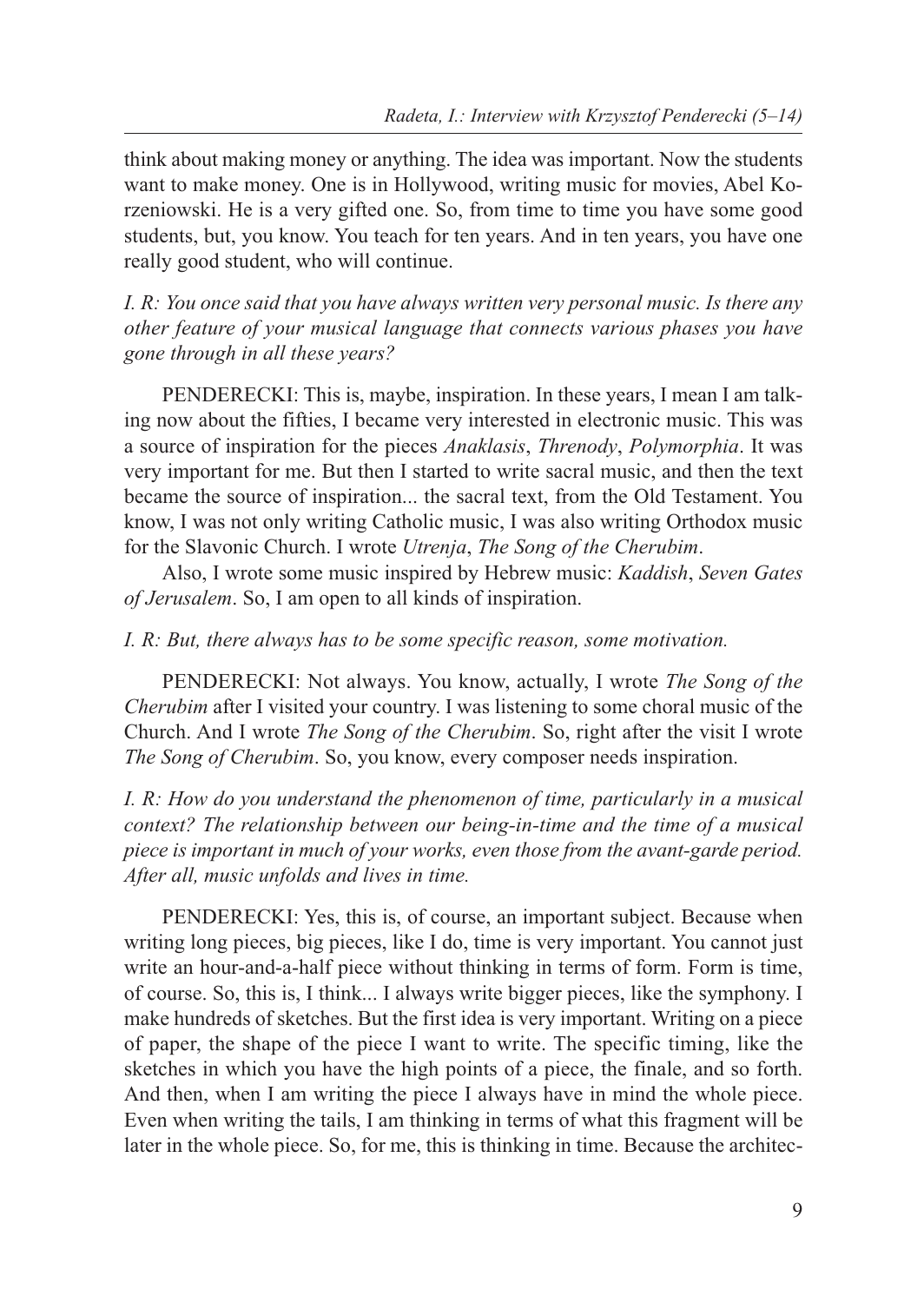think about making money or anything. The idea was important. Now the students want to make money. One is in Hollywood, writing music for movies, Abel Korzeniowski. He is a very gifted one. So, from time to time you have some good students, but, you know. You teach for ten years. And in ten years, you have one really good student, who will continue.

*I. R: You once said that you have always written very personal music. Is there any other feature of your musical language that connects various phases you have gone through in all these years?*

PENDERECKI: This is, maybe, inspiration. In these years, I mean I am talking now about the fifties, I became very interested in electronic music. This was a source of inspiration for the pieces *Anaklasis*, *Threnody*, *Polymorphia*. It was very important for me. But then I started to write sacral music, and then the text became the source of inspiration... the sacral text, from the Old Testament. You know, I was not only writing Catholic music, I was also writing Orthodox music for the Slavonic Church. I wrote *Utrenja*, *The Song of the Cherubim*.

Also, I wrote some music inspired by Hebrew music: *Kaddish*, *Seven Gates of Jerusalem*. So, I am open to all kinds of inspiration.

#### *I. R: But, there always has to be some specific reason, some motivation.*

PENDERECKI: Not always. You know, actually, I wrote *The Song of the Cherubim* after I visited your country. I was listening to some choral music of the Church. And I wrote *The Song of the Cherubim*. So, right after the visit I wrote *The Song of Cherubim*. So, you know, every composer needs inspiration.

*I. R: How do you understand the phenomenon of time, particularly in a musical context? The relationship between our being-in-time and the time of a musical piece is important in much of your works, even those from the avant-garde period. After all, music unfolds and lives in time.*

PENDERECKI: Yes, this is, of course, an important subject. Because when writing long pieces, big pieces, like I do, time is very important. You cannot just write an hour-and-a-half piece without thinking in terms of form. Form is time, of course. So, this is, I think... I always write bigger pieces, like the symphony. I make hundreds of sketches. But the first idea is very important. Writing on a piece of paper, the shape of the piece I want to write. The specific timing, like the sketches in which you have the high points of a piece, the finale, and so forth. And then, when I am writing the piece I always have in mind the whole piece. Even when writing the tails, I am thinking in terms of what this fragment will be later in the whole piece. So, for me, this is thinking in time. Because the architec-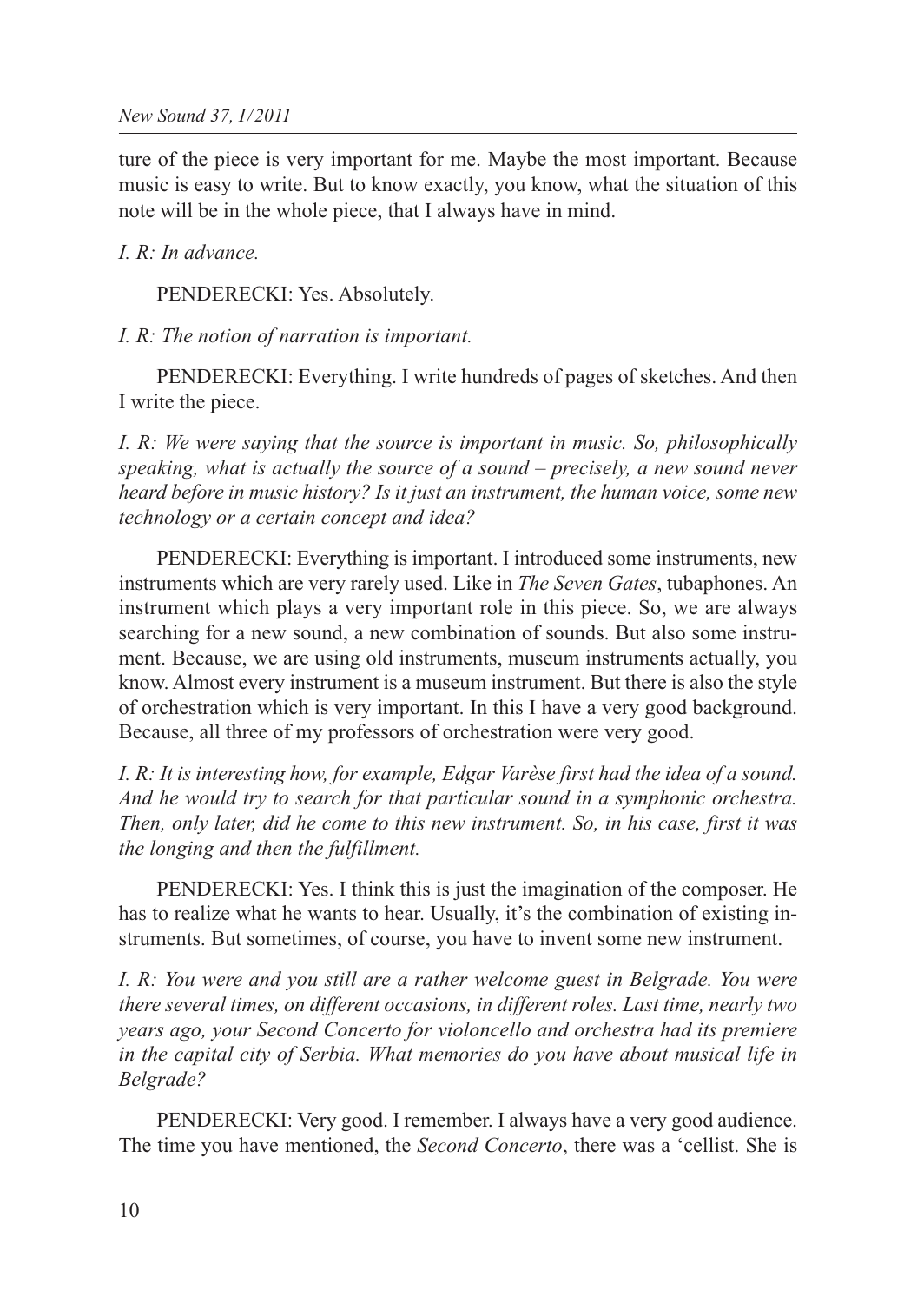ture of the piece is very important for me. Maybe the most important. Because music is easy to write. But to know exactly, you know, what the situation of this note will be in the whole piece, that I always have in mind.

### *I. R: In advance.*

PENDERECKI: Yes. Absolutely.

#### *I. R: The notion of narration is important.*

PENDERECKI: Everything. I write hundreds of pages of sketches. And then I write the piece.

*I. R: We were saying that the source is important in music. So, philosophically speaking, what is actually the source of a sound – precisely, a new sound never heard before in music history? Is it just an instrument, the human voice, some new technology or a certain concept and idea?*

PENDERECKI: Everything is important. I introduced some instruments, new instruments which are very rarely used. Like in *The Seven Gates*, tubaphones. An instrument which plays a very important role in this piece. So, we are always searching for a new sound, a new combination of sounds. But also some instrument. Because, we are using old instruments, museum instruments actually, you know. Almost every instrument is a museum instrument. But there is also the style of orchestration which is very important. In this I have a very good background. Because, all three of my professors of orchestration were very good.

*I. R: It is interesting how, for example, Edgar Varèse first had the idea of a sound. And he would try to search for that particular sound in a symphonic orchestra. Then, only later, did he come to this new instrument. So, in his case, first it was the longing and then the fulfillment.*

PENDERECKI: Yes. I think this is just the imagination of the composer. He has to realize what he wants to hear. Usually, it's the combination of existing instruments. But sometimes, of course, you have to invent some new instrument.

*I. R: You were and you still are a rather welcome guest in Belgrade. You were there several times, on different occasions, in different roles. Last time, nearly two years ago, your Second Concerto for violoncello and orchestra had its premiere in the capital city of Serbia. What memories do you have about musical life in Belgrade?*

PENDERECKI: Very good. I remember. I always have a very good audience. The time you have mentioned, the *Second Concerto*, there was a 'cellist. She is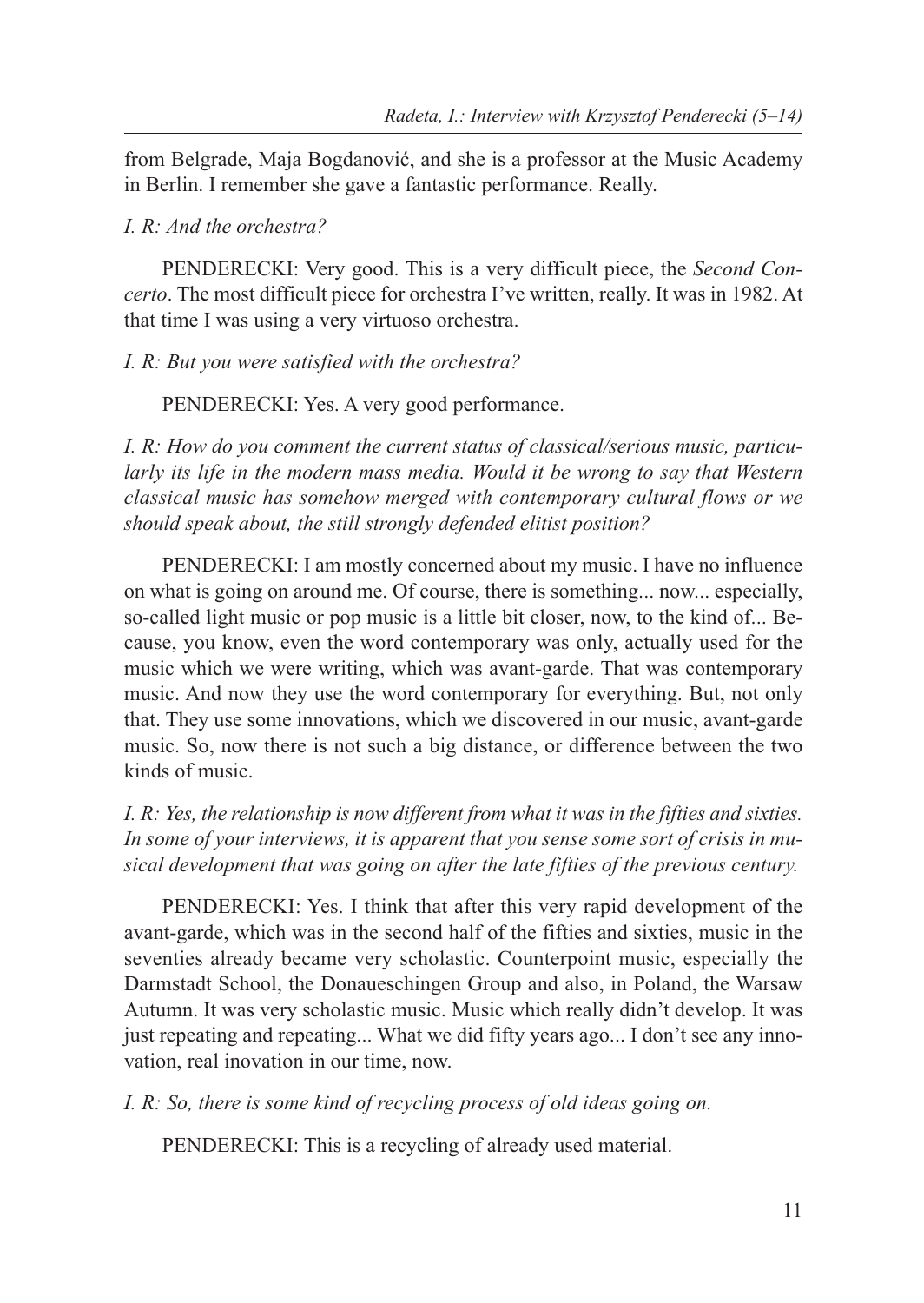from Belgrade, Maja Bogdanović, and she is a professor at the Music Academy in Berlin. I remember she gave a fantastic performance. Really.

#### *I. R: And the orchestra?*

PENDERECKI: Very good. This is a very difficult piece, the *Second Concerto*. The most difficult piece for orchestra I've written, really. It was in 1982. At that time I was using a very virtuoso orchestra.

*I. R: But you were satisfied with the orchestra?*

PENDERECKI: Yes. A very good performance.

*I. R: How do you comment the current status of classical/serious music, particularly its life in the modern mass media. Would it be wrong to say that Western classical music has somehow merged with contemporary cultural flows or we should speak about, the still strongly defended elitist position?*

PENDERECKI: I am mostly concerned about my music. I have no influence on what is going on around me. Of course, there is something... now... especially, so-called light music or pop music is a little bit closer, now, to the kind of... Because, you know, even the word contemporary was only, actually used for the music which we were writing, which was avant-garde. That was contemporary music. And now they use the word contemporary for everything. But, not only that. They use some innovations, which we discovered in our music, avant-garde music. So, now there is not such a big distance, or difference between the two kinds of music.

*I. R: Yes, the relationship is now different from what it was in the fifties and sixties. In some of your interviews, it is apparent that you sense some sort of crisis in musical development that was going on after the late fifties of the previous century.*

PENDERECKI: Yes. I think that after this very rapid development of the avant-garde, which was in the second half of the fifties and sixties, music in the seventies already became very scholastic. Counterpoint music, especially the Darmstadt School, the Donaueschingen Group and also, in Poland, the Warsaw Autumn. It was very scholastic music. Music which really didn't develop. It was just repeating and repeating... What we did fifty years ago... I don't see any innovation, real inovation in our time, now.

*I. R: So, there is some kind of recycling process of old ideas going on.*

PENDERECKI: This is a recycling of already used material.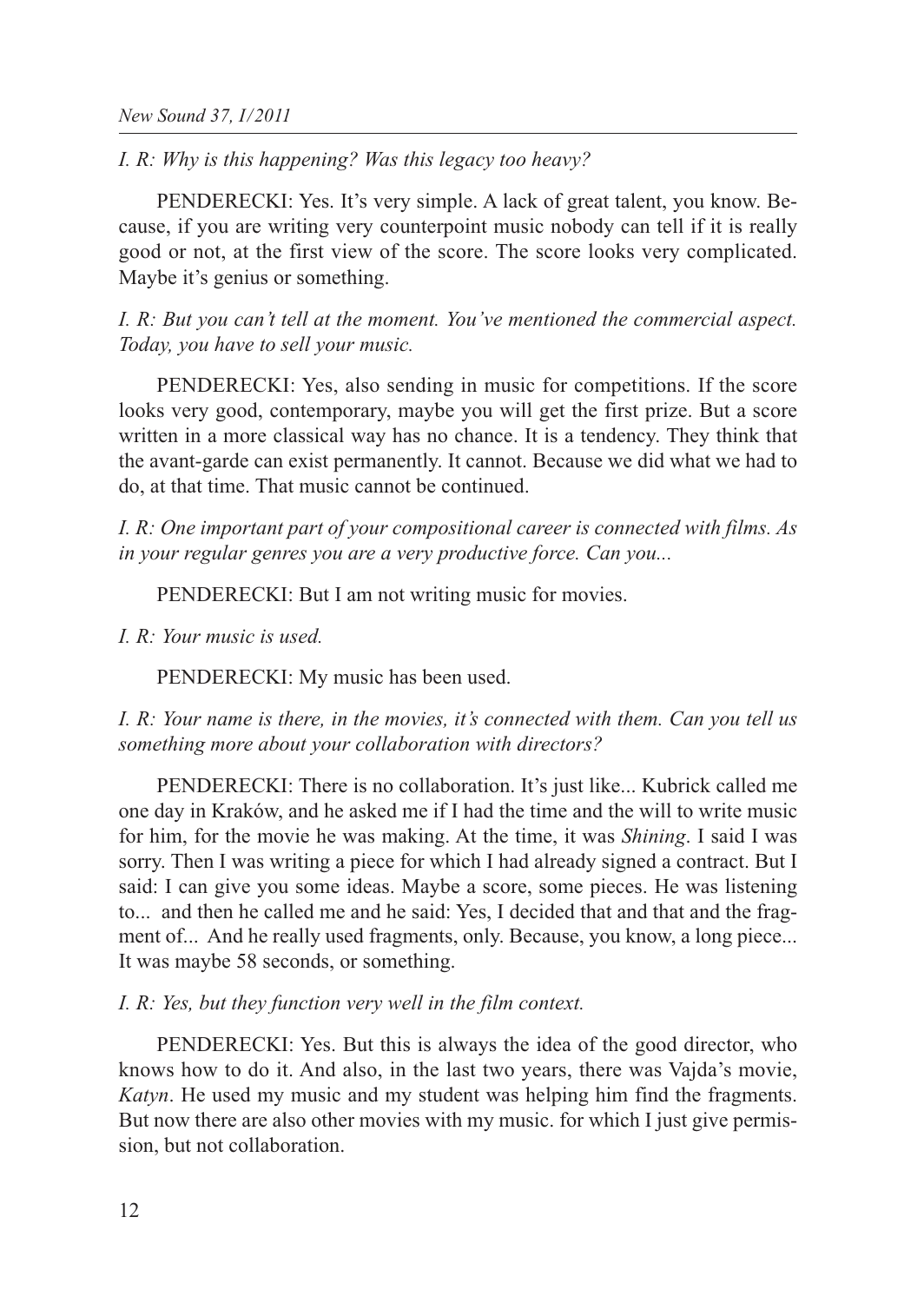*I. R: Why is this happening? Was this legacy too heavy?*

PENDERECKI: Yes. It's very simple. A lack of great talent, you know. Because, if you are writing very counterpoint music nobody can tell if it is really good or not, at the first view of the score. The score looks very complicated. Maybe it's genius or something.

*I. R: But you can't tell at the moment. You've mentioned the commercial aspect. Today, you have to sell your music.*

PENDERECKI: Yes, also sending in music for competitions. If the score looks very good, contemporary, maybe you will get the first prize. But a score written in a more classical way has no chance. It is a tendency. They think that the avant-garde can exist permanently. It cannot. Because we did what we had to do, at that time. That music cannot be continued.

*I. R: One important part of your compositional career is connected with films. As in your regular genres you are a very productive force. Can you...*

PENDERECKI: But I am not writing music for movies.

*I. R: Your music is used.*

PENDERECKI: My music has been used.

*I. R: Your name is there, in the movies, it's connected with them. Can you tell us something more about your collaboration with directors?*

PENDERECKI: There is no collaboration. It's just like... Kubrick called me one day in Kraków, and he asked me if I had the time and the will to write music for him, for the movie he was making. At the time, it was *Shining*. I said I was sorry. Then I was writing a piece for which I had already signed a contract. But I said: I can give you some ideas. Maybe a score, some pieces. He was listening to... and then he called me and he said: Yes, I decided that and that and the fragment of... And he really used fragments, only. Because, you know, a long piece... It was maybe 58 seconds, or something.

*I. R: Yes, but they function very well in the film context.*

PENDERECKI: Yes. But this is always the idea of the good director, who knows how to do it. And also, in the last two years, there was Vajda's movie, *Katyn*. He used my music and my student was helping him find the fragments. But now there are also other movies with my music. for which I just give permission, but not collaboration.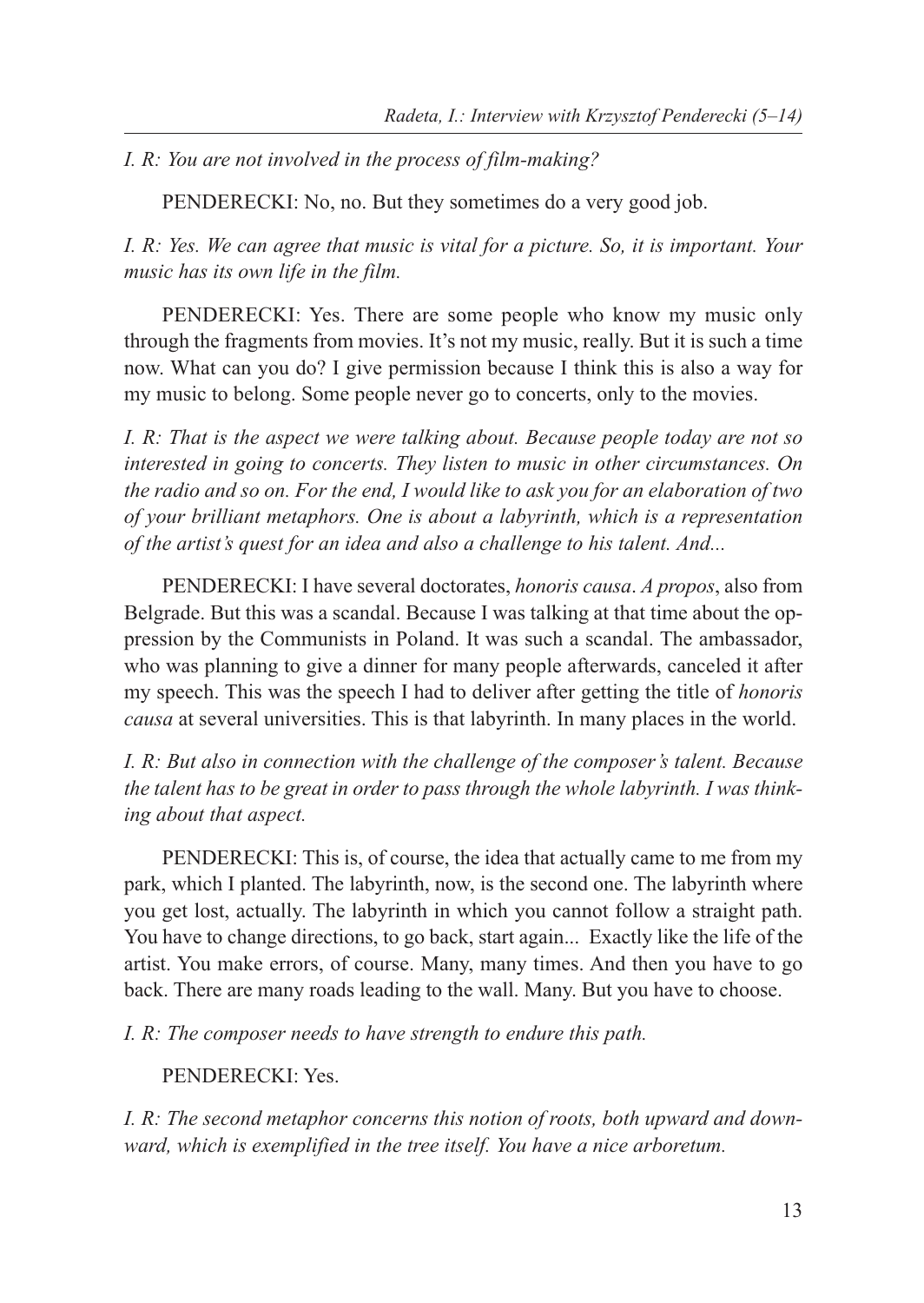*I. R: You are not involved in the process of film-making?*

PENDERECKI: No, no. But they sometimes do a very good job.

*I. R: Yes. We can agree that music is vital for a picture. So, it is important. Your music has its own life in the film.*

PENDERECKI: Yes. There are some people who know my music only through the fragments from movies. It's not my music, really. But it is such a time now. What can you do? I give permission because I think this is also a way for my music to belong. Some people never go to concerts, only to the movies.

*I. R: That is the aspect we were talking about. Because people today are not so interested in going to concerts. They listen to music in other circumstances. On the radio and so on. For the end, I would like to ask you for an elaboration of two of your brilliant metaphors. One is about a labyrinth, which is a representation of the artist's quest for an idea and also a challenge to his talent. And...*

PENDERECKI: I have several doctorates, *honoris causa*. *A propos*, also from Belgrade. But this was a scandal. Because I was talking at that time about the oppression by the Communists in Poland. It was such a scandal. The ambassador, who was planning to give a dinner for many people afterwards, canceled it after my speech. This was the speech I had to deliver after getting the title of *honoris causa* at several universities. This is that labyrinth. In many places in the world.

*I. R: But also in connection with the challenge of the composer's talent. Because the talent has to be great in order to pass through the whole labyrinth. I was thinking about that aspect.*

PENDERECKI: This is, of course, the idea that actually came to me from my park, which I planted. The labyrinth, now, is the second one. The labyrinth where you get lost, actually. The labyrinth in which you cannot follow a straight path. You have to change directions, to go back, start again... Exactly like the life of the artist. You make errors, of course. Many, many times. And then you have to go back. There are many roads leading to the wall. Many. But you have to choose.

*I. R: The composer needs to have strength to endure this path.*

PENDERECKI: Yes.

*I. R: The second metaphor concerns this notion of roots, both upward and downward, which is exemplified in the tree itself. You have a nice arboretum.*